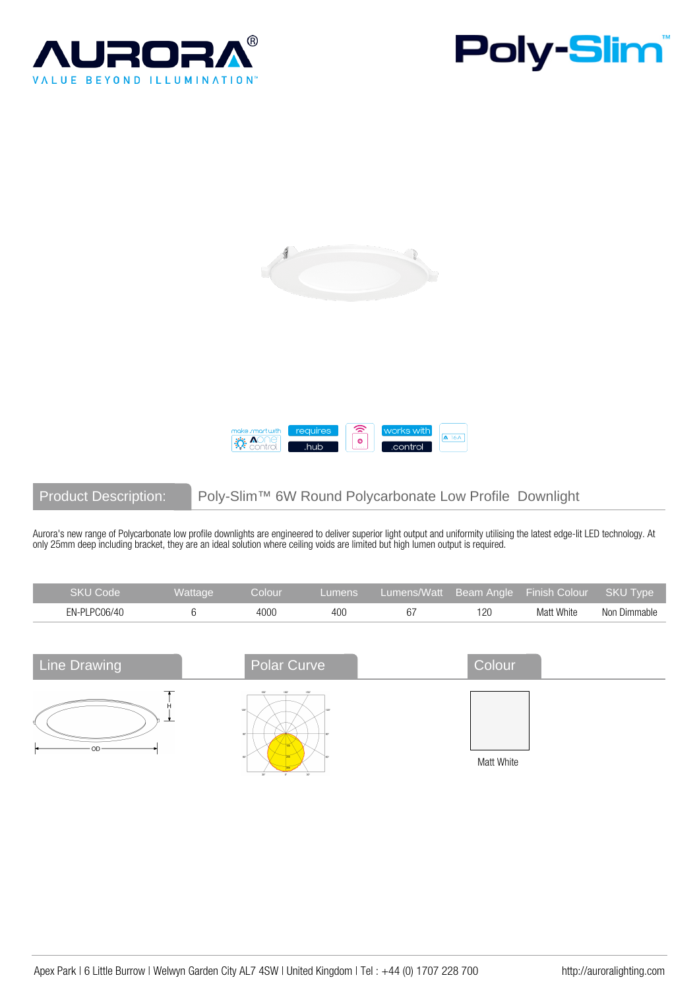







Product Description: Poly-Slim™ 6W Round Polycarbonate Low Profile Downlight

Aurora's new range of Polycarbonate low profile downlights are engineered to deliver superior light output and uniformity utilising the latest edge-lit LED technology. At only 25mm deep including bracket, they are an ideal solution where ceiling voids are limited but high lumen output is required.

| <b>SKU Code</b> | Wattage  | Colour      | <b>Lumens</b> | Lumens/Watt | <b>Beam Angle</b> | Finish Colour | <b>SKU Type</b> |
|-----------------|----------|-------------|---------------|-------------|-------------------|---------------|-----------------|
| EN-PLPC06/40    | 6        | 4000        | 400           | 67          | 120               | Matt White    | Non Dimmable    |
|                 |          |             |               |             |                   |               |                 |
| Line Drawing    |          | Polar Curve |               |             | Colour            |               |                 |
|                 | <u>t</u> | 120°        | 1501          |             | Matt White        |               |                 |